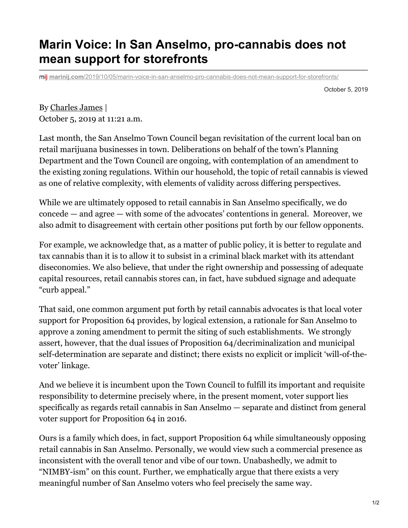## **Marin Voice: In San Anselmo, pro-cannabis does not mean support for storefronts**

**marinij.com**[/2019/10/05/marin-voice-in-san-anselmo-pro-cannabis-does-not-mean-support-for-storefronts/](https://www.marinij.com/2019/10/05/marin-voice-in-san-anselmo-pro-cannabis-does-not-mean-support-for-storefronts/)

October 5, 2019

By [Charles](https://www.marinij.com/author/charles-james/) James | October 5, 2019 at 11:21 a.m.

Last month, the San Anselmo Town Council began revisitation of the current local ban on retail marijuana businesses in town. Deliberations on behalf of the town's Planning Department and the Town Council are ongoing, with contemplation of an amendment to the existing zoning regulations. Within our household, the topic of retail cannabis is viewed as one of relative complexity, with elements of validity across differing perspectives.

While we are ultimately opposed to retail cannabis in San Anselmo specifically, we do concede — and agree — with some of the advocates' contentions in general. Moreover, we also admit to disagreement with certain other positions put forth by our fellow opponents.

For example, we acknowledge that, as a matter of public policy, it is better to regulate and tax cannabis than it is to allow it to subsist in a criminal black market with its attendant diseconomies. We also believe, that under the right ownership and possessing of adequate capital resources, retail cannabis stores can, in fact, have subdued signage and adequate "curb appeal."

That said, one common argument put forth by retail cannabis advocates is that local voter support for Proposition 64 provides, by logical extension, a rationale for San Anselmo to approve a zoning amendment to permit the siting of such establishments. We strongly assert, however, that the dual issues of Proposition 64/decriminalization and municipal self-determination are separate and distinct; there exists no explicit or implicit 'will-of-thevoter' linkage.

And we believe it is incumbent upon the Town Council to fulfill its important and requisite responsibility to determine precisely where, in the present moment, voter support lies specifically as regards retail cannabis in San Anselmo — separate and distinct from general voter support for Proposition 64 in 2016.

Ours is a family which does, in fact, support Proposition 64 while simultaneously opposing retail cannabis in San Anselmo. Personally, we would view such a commercial presence as inconsistent with the overall tenor and vibe of our town. Unabashedly, we admit to "NIMBY-ism" on this count. Further, we emphatically argue that there exists a very meaningful number of San Anselmo voters who feel precisely the same way.